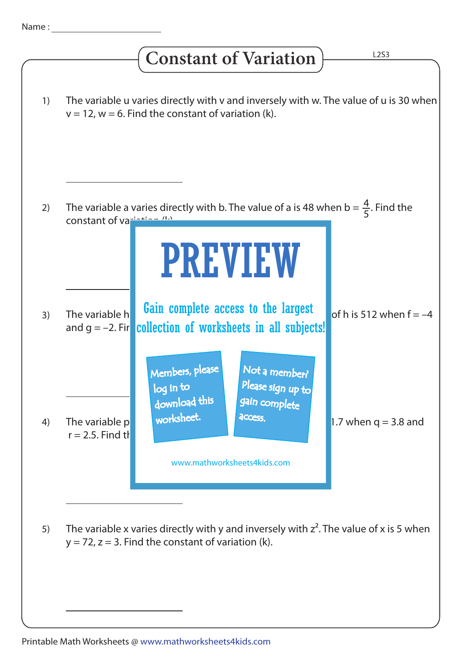## **Constant of Variation**